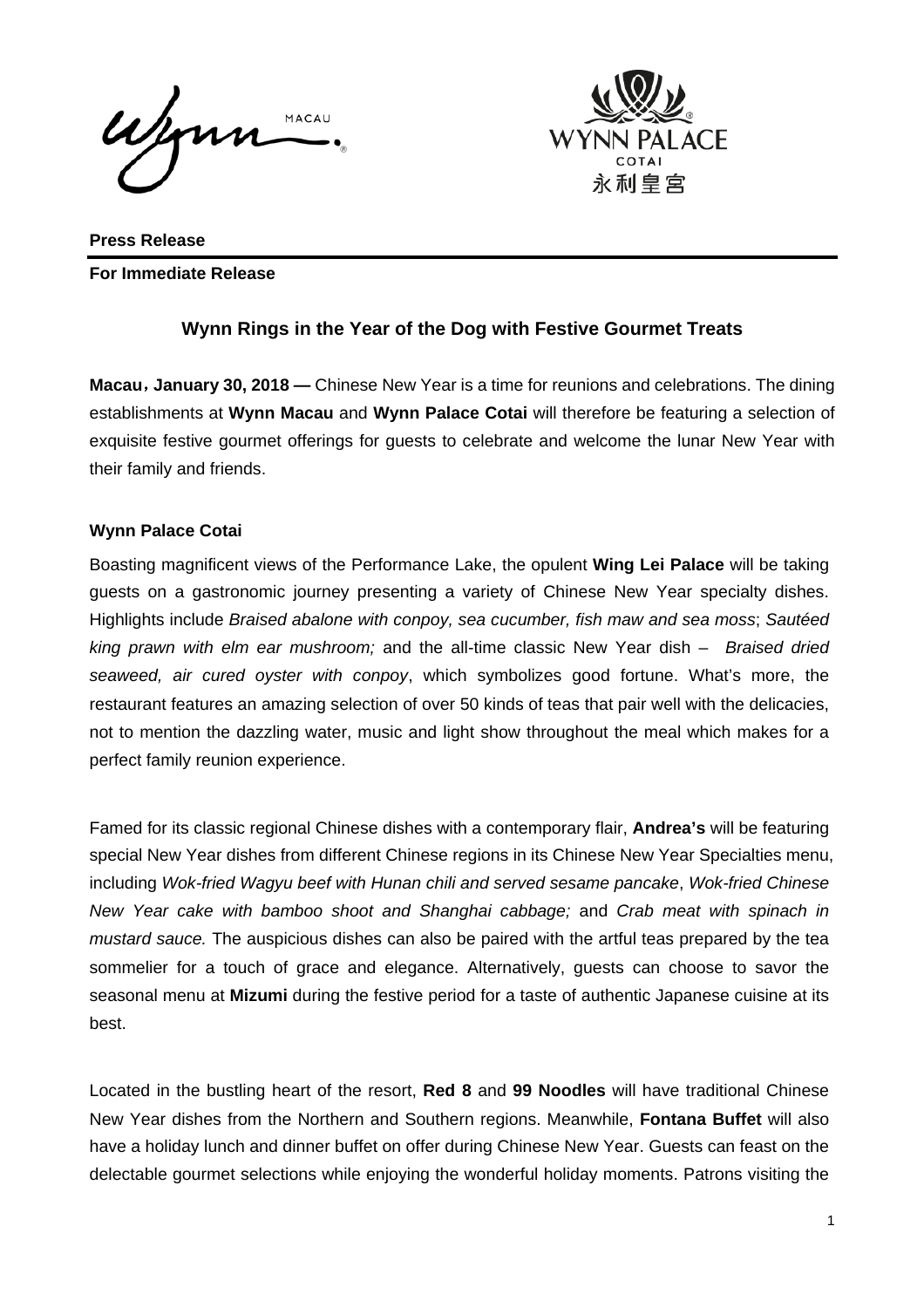Jon MACAU



**Press Release For Immediate Release** 

## **Wynn Rings in the Year of the Dog with Festive Gourmet Treats**

**Macau**,**January 30, 2018 —** Chinese New Year is a time for reunions and celebrations. The dining establishments at **Wynn Macau** and **Wynn Palace Cotai** will therefore be featuring a selection of exquisite festive gourmet offerings for guests to celebrate and welcome the lunar New Year with their family and friends.

### **Wynn Palace Cotai**

Boasting magnificent views of the Performance Lake, the opulent **Wing Lei Palace** will be taking guests on a gastronomic journey presenting a variety of Chinese New Year specialty dishes. Highlights include *Braised abalone with conpoy, sea cucumber, fish maw and sea moss*; *Sautéed king prawn with elm ear mushroom;* and the all-time classic New Year dish – *Braised dried seaweed, air cured oyster with conpoy*, which symbolizes good fortune. What's more, the restaurant features an amazing selection of over 50 kinds of teas that pair well with the delicacies, not to mention the dazzling water, music and light show throughout the meal which makes for a perfect family reunion experience.

Famed for its classic regional Chinese dishes with a contemporary flair, **Andrea's** will be featuring special New Year dishes from different Chinese regions in its Chinese New Year Specialties menu, including *Wok-fried Wagyu beef with Hunan chili and served sesame pancake*, *Wok-fried Chinese New Year cake with bamboo shoot and Shanghai cabbage;* and *Crab meat with spinach in mustard sauce.* The auspicious dishes can also be paired with the artful teas prepared by the tea sommelier for a touch of grace and elegance. Alternatively, guests can choose to savor the seasonal menu at **Mizumi** during the festive period for a taste of authentic Japanese cuisine at its best.

Located in the bustling heart of the resort, **Red 8** and **99 Noodles** will have traditional Chinese New Year dishes from the Northern and Southern regions. Meanwhile, **Fontana Buffet** will also have a holiday lunch and dinner buffet on offer during Chinese New Year. Guests can feast on the delectable gourmet selections while enjoying the wonderful holiday moments. Patrons visiting the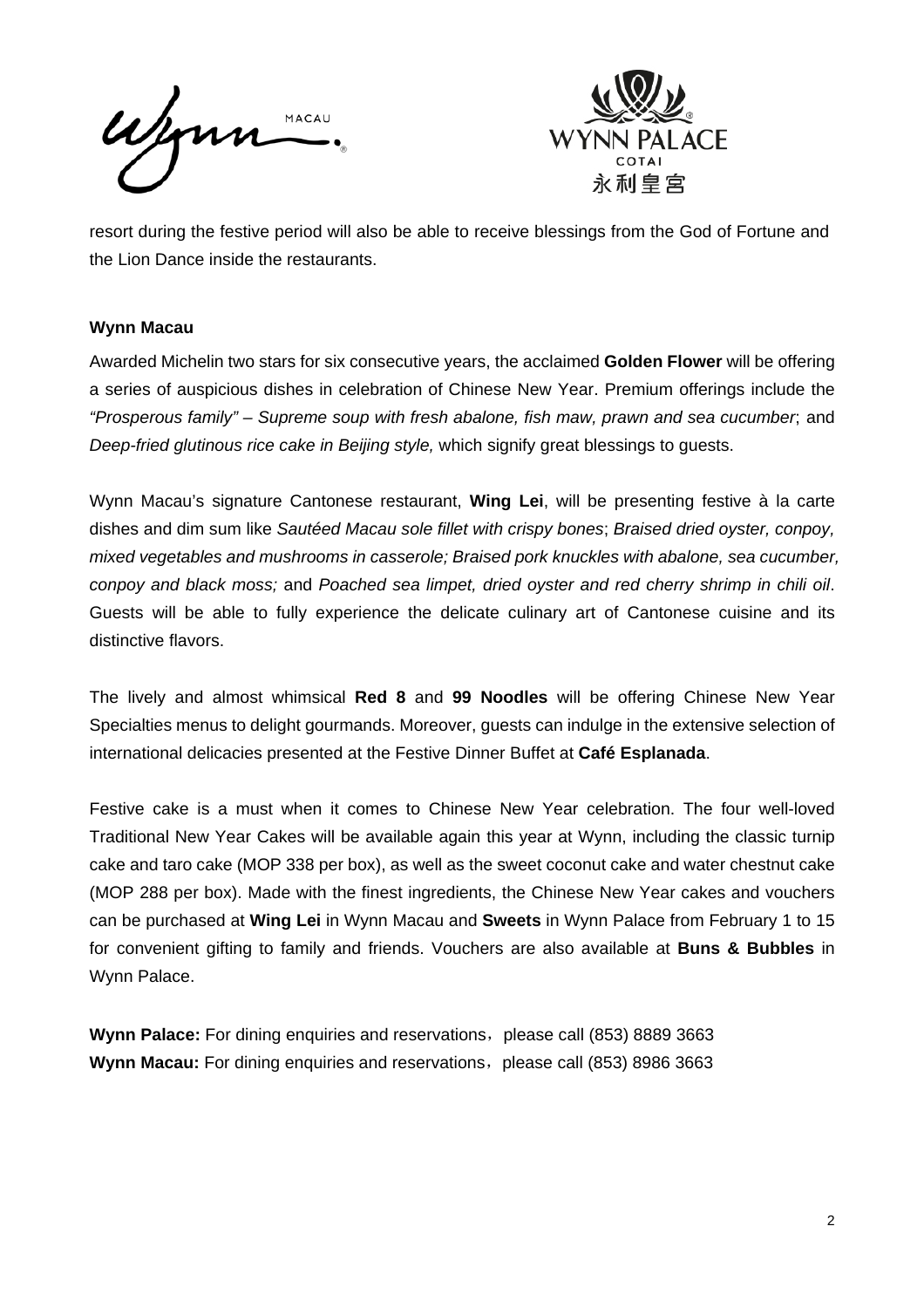Wynn MACAU



resort during the festive period will also be able to receive blessings from the God of Fortune and the Lion Dance inside the restaurants.

### **Wynn Macau**

Awarded Michelin two stars for six consecutive years, the acclaimed **Golden Flower** will be offering a series of auspicious dishes in celebration of Chinese New Year. Premium offerings include the *"Prosperous family" – Supreme soup with fresh abalone, fish maw, prawn and sea cucumber*; and *Deep-fried glutinous rice cake in Beijing style,* which signify great blessings to guests.

Wynn Macau's signature Cantonese restaurant, **Wing Lei**, will be presenting festive à la carte dishes and dim sum like *Sautéed Macau sole fillet with crispy bones*; *Braised dried oyster, conpoy, mixed vegetables and mushrooms in casserole; Braised pork knuckles with abalone, sea cucumber, conpoy and black moss;* and *Poached sea limpet, dried oyster and red cherry shrimp in chili oil*. Guests will be able to fully experience the delicate culinary art of Cantonese cuisine and its distinctive flavors.

The lively and almost whimsical **Red 8** and **99 Noodles** will be offering Chinese New Year Specialties menus to delight gourmands. Moreover, guests can indulge in the extensive selection of international delicacies presented at the Festive Dinner Buffet at **Café Esplanada**.

Festive cake is a must when it comes to Chinese New Year celebration. The four well-loved Traditional New Year Cakes will be available again this year at Wynn, including the classic turnip cake and taro cake (MOP 338 per box), as well as the sweet coconut cake and water chestnut cake (MOP 288 per box). Made with the finest ingredients, the Chinese New Year cakes and vouchers can be purchased at **Wing Lei** in Wynn Macau and **Sweets** in Wynn Palace from February 1 to 15 for convenient gifting to family and friends. Vouchers are also available at **Buns & Bubbles** in Wynn Palace.

**Wynn Palace:** For dining enquiries and reservations, please call (853) 8889 3663 **Wynn Macau:** For dining enquiries and reservations, please call (853) 8986 3663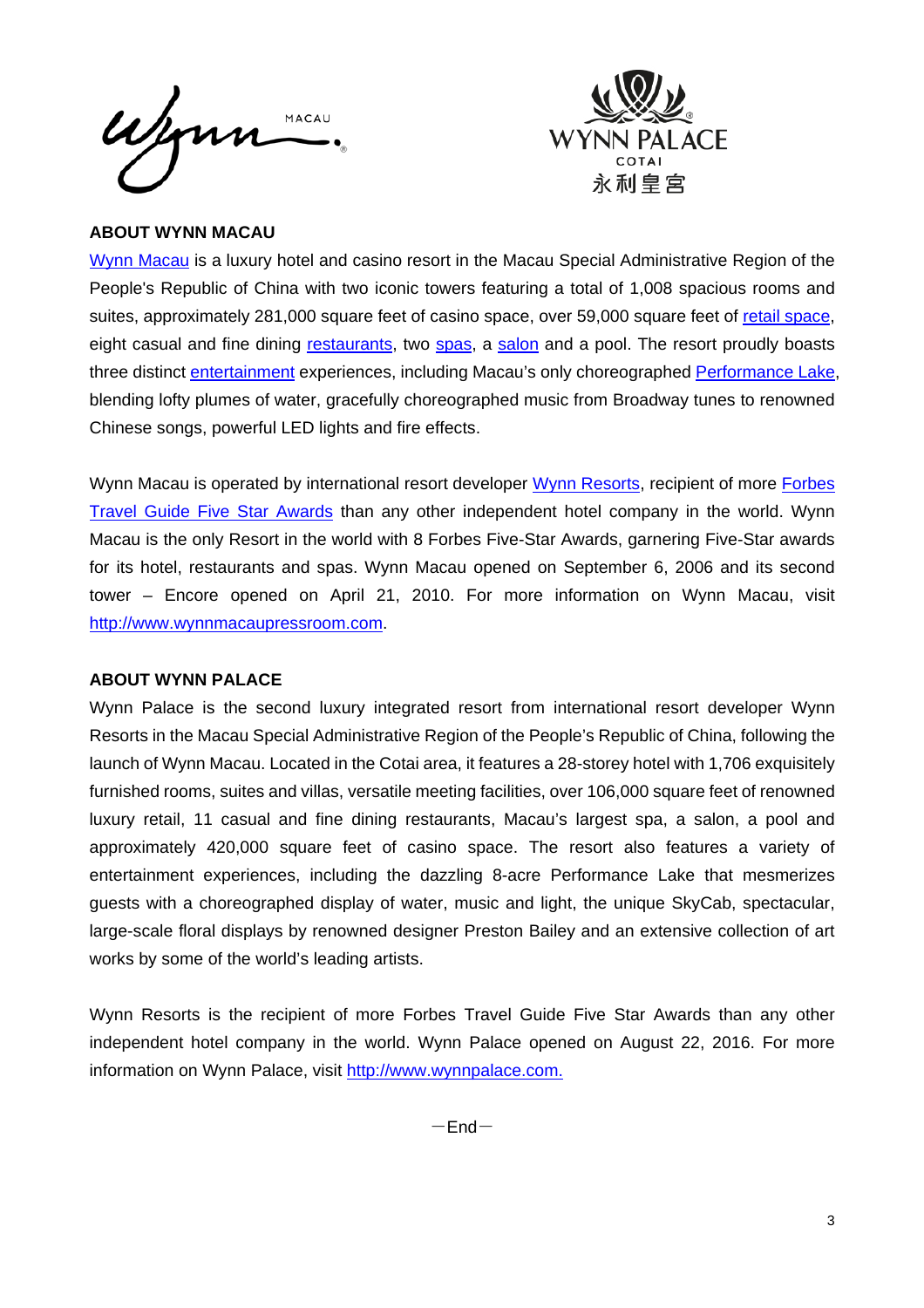



### **ABOUT WYNN MACAU**

Wynn Macau is a luxury hotel and casino resort in the Macau Special Administrative Region of the People's Republic of China with two iconic towers featuring a total of 1,008 spacious rooms and suites, approximately 281,000 square feet of casino space, over 59,000 square feet of retail space, eight casual and fine dining restaurants, two spas, a salon and a pool. The resort proudly boasts three distinct entertainment experiences, including Macau's only choreographed Performance Lake, blending lofty plumes of water, gracefully choreographed music from Broadway tunes to renowned Chinese songs, powerful LED lights and fire effects.

Wynn Macau is operated by international resort developer Wynn Resorts, recipient of more Forbes Travel Guide Five Star Awards than any other independent hotel company in the world. Wynn Macau is the only Resort in the world with 8 Forbes Five-Star Awards, garnering Five-Star awards for its hotel, restaurants and spas. Wynn Macau opened on September 6, 2006 and its second tower – Encore opened on April 21, 2010. For more information on Wynn Macau, visit http://www.wynnmacaupressroom.com.

### **ABOUT WYNN PALACE**

Wynn Palace is the second luxury integrated resort from international resort developer Wynn Resorts in the Macau Special Administrative Region of the People's Republic of China, following the launch of Wynn Macau. Located in the Cotai area, it features a 28-storey hotel with 1,706 exquisitely furnished rooms, suites and villas, versatile meeting facilities, over 106,000 square feet of renowned luxury retail, 11 casual and fine dining restaurants, Macau's largest spa, a salon, a pool and approximately 420,000 square feet of casino space. The resort also features a variety of entertainment experiences, including the dazzling 8-acre Performance Lake that mesmerizes guests with a choreographed display of water, music and light, the unique SkyCab, spectacular, large-scale floral displays by renowned designer Preston Bailey and an extensive collection of art works by some of the world's leading artists.

Wynn Resorts is the recipient of more Forbes Travel Guide Five Star Awards than any other independent hotel company in the world. Wynn Palace opened on August 22, 2016. For more information on Wynn Palace, visit http://www.wynnpalace.com.

 $-$ End $-$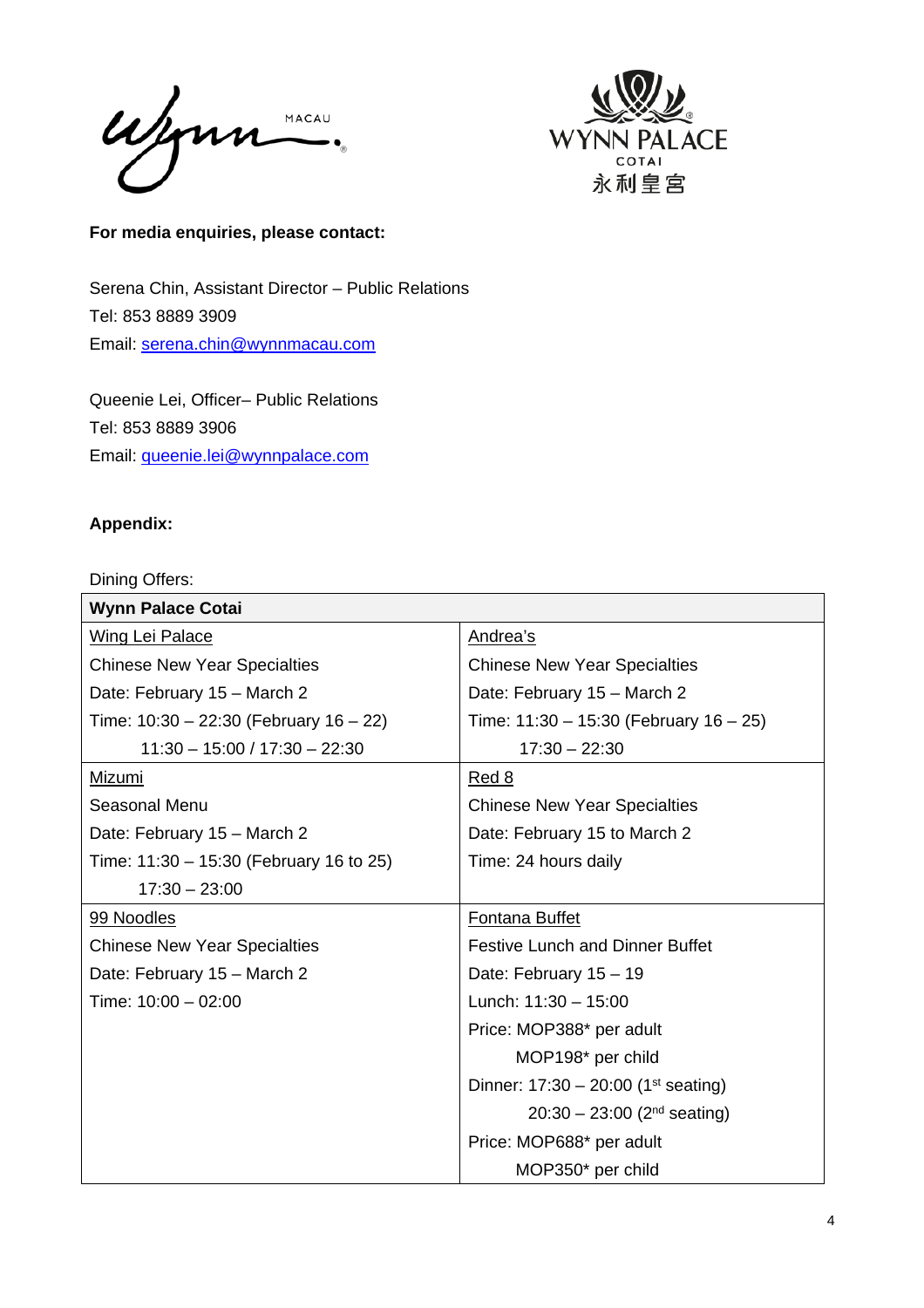Wynn MACAU  $\overline{\phantom{a}}$ 



**For media enquiries, please contact:** 

Serena Chin, Assistant Director – Public Relations Tel: 853 8889 3909 Email: serena.chin@wynnmacau.com

Queenie Lei, Officer– Public Relations Tel: 853 8889 3906 Email: queenie.lei@wynnpalace.com

# **Appendix:**

Dining Offers:

| <b>Wynn Palace Cotai</b>                    |                                                   |
|---------------------------------------------|---------------------------------------------------|
| <b>Wing Lei Palace</b>                      | Andrea's                                          |
| <b>Chinese New Year Specialties</b>         | <b>Chinese New Year Specialties</b>               |
| Date: February 15 - March 2                 | Date: February 15 - March 2                       |
| Time: $10:30 - 22:30$ (February $16 - 22$ ) | Time: $11:30 - 15:30$ (February $16 - 25$ )       |
| $11:30 - 15:00 / 17:30 - 22:30$             | $17:30 - 22:30$                                   |
| Mizumi                                      | <u>Red 8</u>                                      |
| Seasonal Menu                               | <b>Chinese New Year Specialties</b>               |
| Date: February 15 - March 2                 | Date: February 15 to March 2                      |
| Time: 11:30 - 15:30 (February 16 to 25)     | Time: 24 hours daily                              |
| $17:30 - 23:00$                             |                                                   |
| 99 Noodles                                  | <b>Fontana Buffet</b>                             |
| <b>Chinese New Year Specialties</b>         | <b>Festive Lunch and Dinner Buffet</b>            |
| Date: February 15 - March 2                 | Date: February 15 - 19                            |
| Time: 10:00 - 02:00                         | Lunch: $11:30 - 15:00$                            |
|                                             | Price: MOP388* per adult                          |
|                                             | MOP198* per child                                 |
|                                             | Dinner: $17:30 - 20:00$ (1 <sup>st</sup> seating) |
|                                             | $20:30 - 23:00$ (2 <sup>nd</sup> seating)         |
|                                             | Price: MOP688* per adult                          |
|                                             | MOP350* per child                                 |